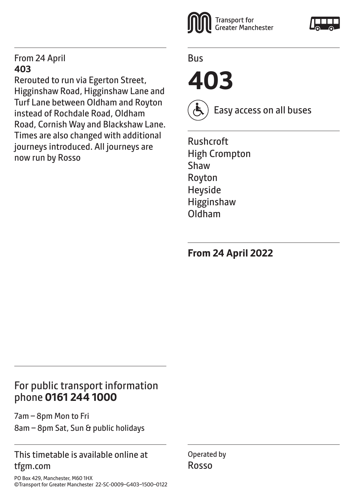#### From 24 April **403**

Rerouted to run via Egerton Street, Higginshaw Road, Higginshaw Lane and Turf Lane between Oldham and Royton instead of Rochdale Road, Oldham Road, Cornish Way and Blackshaw Lane. Times are also changed with additional journeys introduced. All journeys are now run by Rosso



Bus

**403** 



Easy access on all buses

Rushcroft High Crompton Shaw Royton Heyside Higginshaw Oldham

**From 24 April 2022**

## For public transport information phone **0161 244 1000**

7am – 8pm Mon to Fri 8am – 8pm Sat, Sun & public holidays

#### This timetable is available online at tfgm.com

PO Box 429, Manchester, M60 1HX ©Transport for Greater Manchester 22-SC-0009–G403–1500–0122 Operated by Rosso

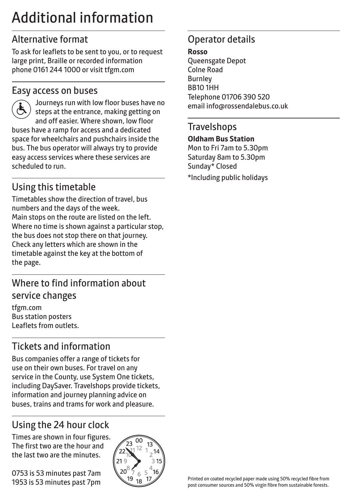# Additional information

## Alternative format

To ask for leaflets to be sent to you, or to request large print, Braille or recorded information phone 0161 244 1000 or visit tfgm.com

#### Easy access on buses



 Journeys run with low floor buses have no steps at the entrance, making getting on and off easier. Where shown, low floor buses have a ramp for access and a dedicated space for wheelchairs and pushchairs inside the bus. The bus operator will always try to provide easy access services where these services are scheduled to run.

# Using this timetable

Timetables show the direction of travel, bus numbers and the days of the week. Main stops on the route are listed on the left. Where no time is shown against a particular stop, the bus does not stop there on that journey. Check any letters which are shown in the timetable against the key at the bottom of the page.

## Where to find information about service changes

tfgm.com Bus station posters Leaflets from outlets.

# Tickets and information

Bus companies offer a range of tickets for use on their own buses. For travel on any service in the County, use System One tickets, including DaySaver. Travelshops provide tickets, information and journey planning advice on buses, trains and trams for work and pleasure.

# Using the 24 hour clock

Times are shown in four figures. The first two are the hour and the last two are the minutes.

0753 is 53 minutes past 7am 1953 is 53 minutes past 7pm



## Operator details

**Rosso**

Queensgate Depot Colne Road Burnley BB10 1HH Telephone 01706 390 520 email info@rossendalebus.co.uk

#### **Travelshops**

**Oldham Bus Station**

Mon to Fri 7am to 5.30pm Saturday 8am to 5.30pm Sunday\* Closed \*Including public holidays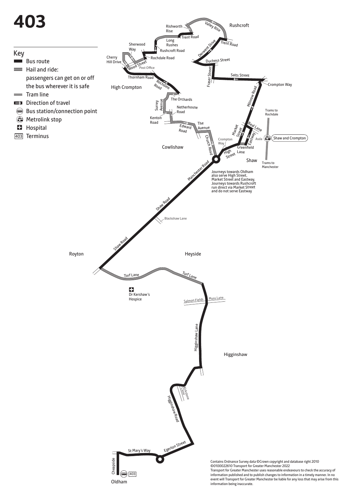